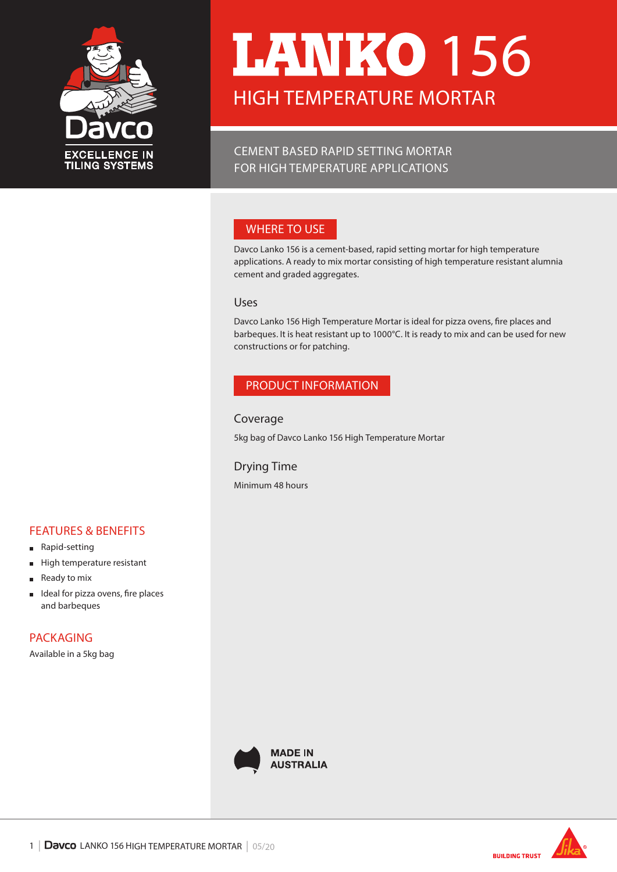

# HIGH TEMPERATURE MORTAR **LANKO 156**

CEMENT BASED RAPID SETTING MORTAR FOR HIGH TEMPERATURE APPLICATIONS

## WHERE TO USE

Davco Lanko 156 is a cement-based, rapid setting mortar for high temperature applications. A ready to mix mortar consisting of high temperature resistant alumnia cement and graded aggregates.

## Uses

Davco Lanko 156 High Temperature Mortar is ideal for pizza ovens, fire places and barbeques. It is heat resistant up to 1000°C. It is ready to mix and can be used for new constructions or for patching.

## PRODUCT INFORMATION

## Coverage

5kg bag of Davco Lanko 156 High Temperature Mortar

## Drying Time

Minimum 48 hours

#### FEATURES & BENEFITS Rapid-setting  $\blacksquare$

- $\blacksquare$ High temperature resistant
- Ready to mix  $\blacksquare$
- Ideal for pizza ovens, fire places  $\blacksquare$ and barbeques

PACKAGING

Available in a 5kg bag



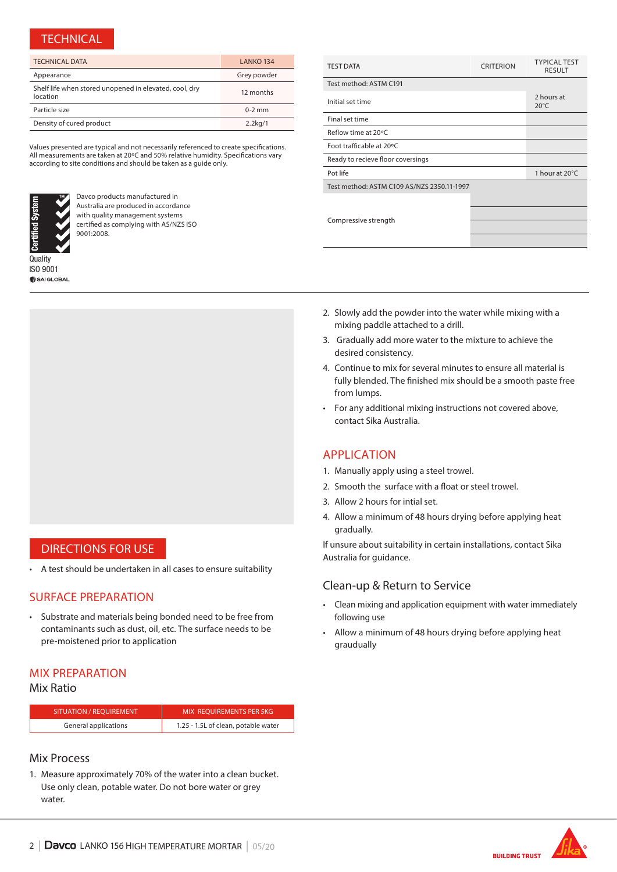## **TECHNICAL**

| <b>TECHNICAL DATA</b>                                              | LANKO 134   |
|--------------------------------------------------------------------|-------------|
| Appearance                                                         | Grey powder |
| Shelf life when stored unopened in elevated, cool, dry<br>location | 12 months   |
| Particle size                                                      | $0-2$ mm    |
| Density of cured product                                           | $2.2$ kg/1  |

Values presented are typical and not necessarily referenced to create specifications. All measurements are taken at 20ºC and 50% relative humidity. Specifications vary according to site conditions and should be taken as a guide only.



Davco products manufactured in Australia are produced in accordance with quality management systems certified as complying with AS/NZS ISO 9001:2008.

**Quality** ISO 9001 SAI GLOBAL



- 2. Slowly add the powder into the water while mixing with a mixing paddle attached to a drill.
- 3. Gradually add more water to the mixture to achieve the desired consistency.
- 4. Continue to mix for several minutes to ensure all material is fully blended. The finished mix should be a smooth paste free from lumps.
- For any additional mixing instructions not covered above, contact Sika Australia.

#### APPLICATION

- 1. Manually apply using a steel trowel.
- 2. Smooth the surface with a float or steel trowel.
- 3. Allow 2 hours for intial set.
- 4. Allow a minimum of 48 hours drying before applying heat gradually.

If unsure about suitability in certain installations, contact Sika Australia for guidance.

## Clean-up & Return to Service

- Clean mixing and application equipment with water immediately following use
- Allow a minimum of 48 hours drying before applying heat graudually

## DIRECTIONS FOR USE

• A test should be undertaken in all cases to ensure suitability

## SURFACE PREPARATION

• Substrate and materials being bonded need to be free from contaminants such as dust, oil, etc. The surface needs to be pre-moistened prior to application

#### MIX PREPARATION

## Mix Ratio

| <b>SITUATION / REOUIREMENT</b> | MIX REOUIREMENTS PER 5KG            |
|--------------------------------|-------------------------------------|
| General applications           | 1.25 - 1.5L of clean, potable water |
|                                |                                     |

## Mix Process

1. Measure approximately 70% of the water into a clean bucket. Use only clean, potable water. Do not bore water or grey water.